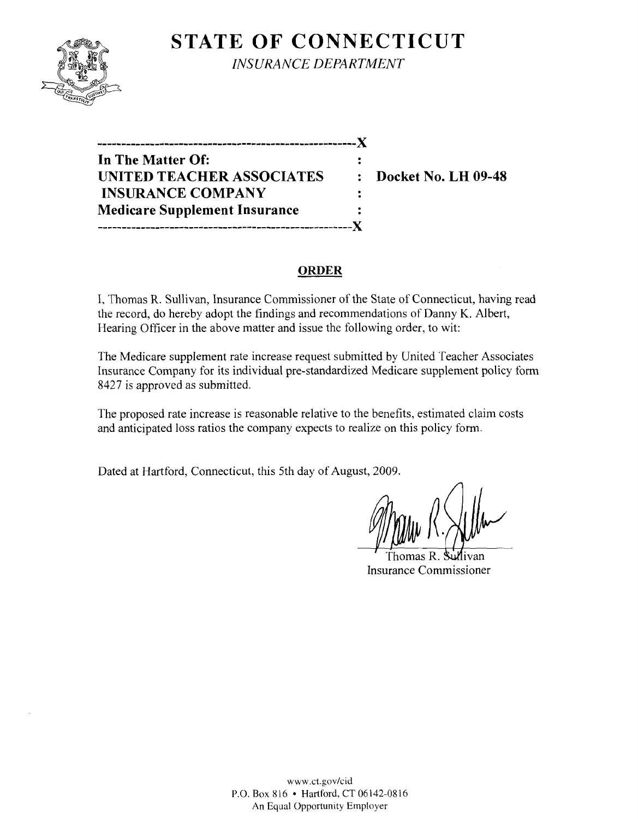## **STATE OF CONNECTICUT**



*INSURANCE DEPARTMENT* 

**------------------------------------------------------)( In The Matter Of: UNITED TEACHER ASSOCIATES : Docket No. LH 09-48 INSURANCE COMPANY**   $\ddot{\cdot}$ **Medicare Supplement Insurance -----------------------------------------------------)(** 

#### **ORDER**

I, Thomas R. Sullivan, Insurance Commissioner of the State of Connecticut, having read the record, do hereby adopt the findings and recommendations of Danny K. Albert, Hearing Officer in the above matter and issue the following order, to wit:

The Medicare supplement rate increase request submitted by United Teacher Associates Insurance Company for its individual pre-standardized Medicare supplement policy form 8427 is approved as submitted.

The proposed rate increase is reasonable relative to the benefits, estimated claim costs and anticipated loss ratios the company expects to realize on this policy form.

Dated at Hartford, Connecticut, this 5th day of August, 2009.

Thomas R Insurance Commissioner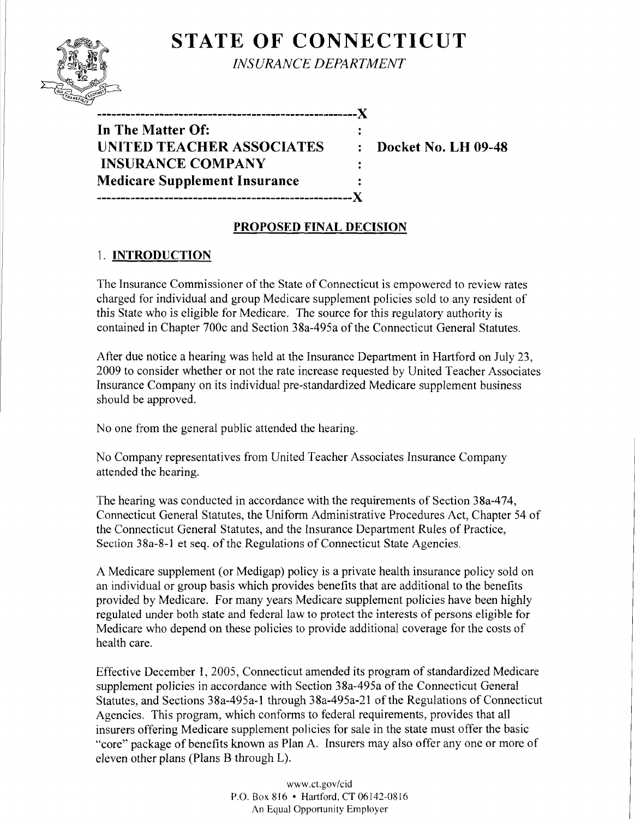# **STATE OF CONNECTICUT**



*INSURANCE DEPARTMENT* 

| In The Matter Of:                    |            |
|--------------------------------------|------------|
| <b>UNITED TEACHER ASSOCIATES</b>     | $\ddot{z}$ |
| <b>INSURANCE COMPANY</b>             |            |
| <b>Medicare Supplement Insurance</b> |            |
| -------------------------------      |            |

**Docket No. LH 09-48** 

### **PROPOSED FINAL DECISION**

### 1. **INTRODUCTION**

The Insurance Commissioner of the State of Connecticut is empowered to review rates charged for individual and group Medicare supplement policies sold to any resident of this State who is eligible for Medicare. The source for this regulatory authority is contained in Chapter 700c and Section 38a-495a of the Connecticut General Statutes.

After due notice a hearing was held at the Insurance Department in Hartford on July 23, 2009 to consider whether or not the rate increase requested by United Teacher Associates Insurance Company on its individual pre-standardized Medicare supplement business should be approved.

No one from the general public attended the hearing.

No Company representatives from United Teacher Associates Insurance Company attended the hearing.

The hearing was conducted in accordance with the requirements of Section 38a-474, Connecticut General Statutes, the Uniform Administrative Procedures Act, Chapter 54 of the Connecticut General Statutes, and the Insurance Department Rules of Practice, Section 38a-8-1 et seq. of the Regulations of Connecticut State Agencies.

A Medicare supplement (or Medigap) policy is a private health insurance policy sold on an individual or group basis which provides benefits that are additional to the benefits provided by Medicare. For many years Medicare supplement policies have been highly regulated under both state and federal law to protect the interests of persons eligible for Medicare who depend on these policies to provide additional coverage for the costs of health care.

Effective December 1, 2005, Connecticut amended its program of standardized Medicare supplement policies in accordance with Section 38a-495a of the Connecticut General Statutes, and Sections 38a-495a-l through 38a-495a-21 of the Regulations of Connecticut Agencies. This program, which conforms to federal requirements, provides that all insurers offering Medicare supplement policies for sale in the state must offer the basic "core" package of benefits known as Plan A. Insurers may also offer anyone or more of eleven other plans (Plans B through L).

> www.ct.gov/cid P.O. Box 816 • Hartford, CT 06142-0816 An Equal Opportunity Employer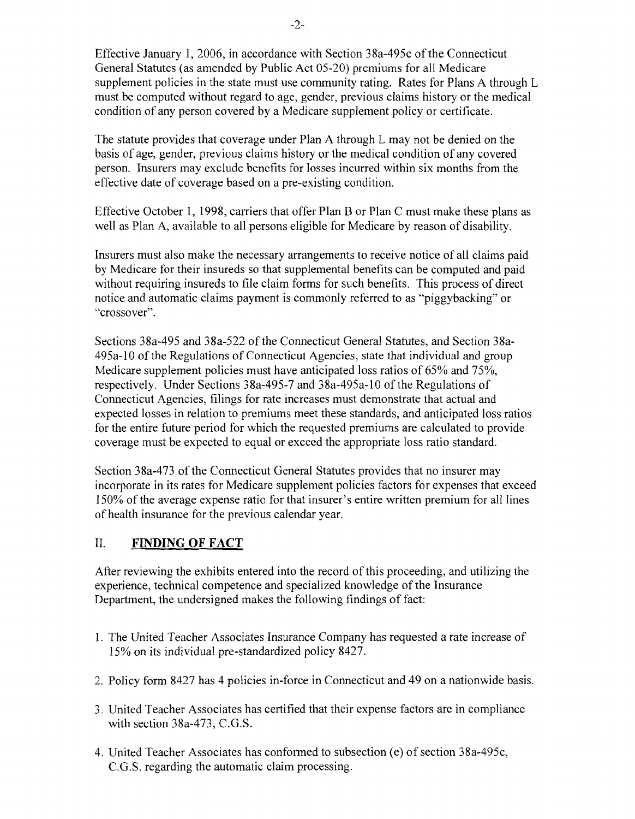Effective January 1,2006, in accordance with Section 38a-495c of the Connecticut General Statutes (as amended by Public Act 05-20) premiums for all Medicare supplement policies in the state must use community rating. Rates for Plans A through L must be computed without regard to age, gender, previous claims history or the medical condition of any person covered by a Medicare supplement policy or certificate.

The statute provides that coverage under Plan A through L may not be denied on the basis of age, gender, previous claims history or the medical condition of any covered person. Insurers may exclude benefits for losses incurred within six months from the effective date of coverage based on a pre-existing condition.

Effective October 1, 1998, carriers that offer Plan B or Plan C must make these plans as well as Plan A, available to all persons eligible for Medicare by reason of disability.

Insurers must also make the necessary arrangements to receive notice of all claims paid by Medicare for their insureds so that supplemental benefits can be computed and paid without requiring insureds to file claim forms for such benefits. This process of direct notice and automatic claims payment is commonly referred to as "piggybacking" or "crossover".

Sections 38a-495 and 38a-522 of the Connecticut General Statutes, and Section 38a-495a-lO of the Regulations of Connecticut Agencies, state that individual and group Medicare supplement policies must have anticipated loss ratios of 65% and 75%, respectively. Under Sections 38a-495-7 and 38a-495a-10 of the Regulations of Connecticut Agencies, filings for rate increases must demonstrate that actual and expected losses in relation to premiums meet these standards, and anticipated loss ratios for the entire future period for which the requested premiums are calculated to provide coverage must be expected to equal or exceed the appropriate loss ratio standard.

Section 38a-473 of the Connecticut General Statutes provides that no insurer may incorporate in its rates for Medicare supplement policies factors for expenses that exceed 150% of the average expense ratio for that insurer's entire written premium for all lines of health insurance for the previous calendar year.

#### II. **FINDING OF FACT**

After reviewing the exhibits entered into the record of this proceeding, and utilizing the experience, technical competence and specialized knowledge of the Insurance Department, the undersigned makes the following findings of fact:

- 1. The United Teacher Associates Insurance Company has requested a rate increase of 15% on its individual pre-standardized policy 8427.
- 2. Policy form 8427 has 4 policies in-force in Connecticut and 49 on a nationwide basis.
- 3. United Teacher Associates has certified that their expense factors are in compliance with section 38a-473, C.G.S.
- 4. United Teacher Associates has conformed to subsection (e) of section 38a-495c, C.G.S. regarding the automatic claim processing.